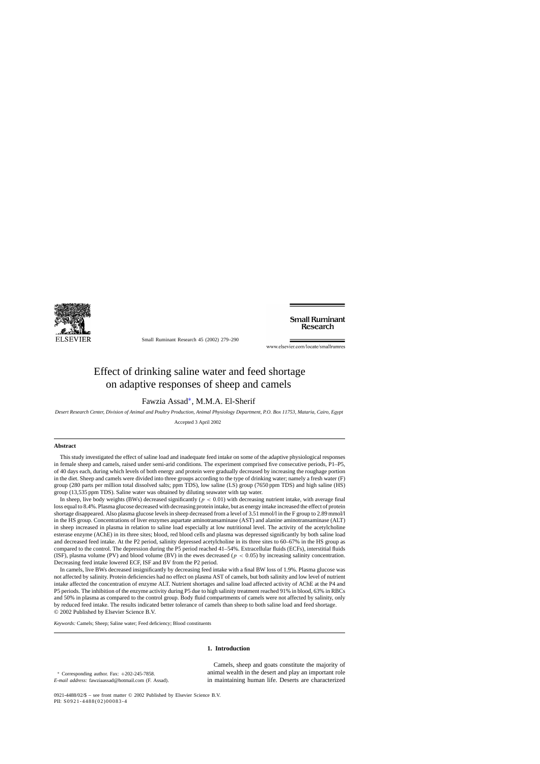

Small Ruminant Research 45 (2002) 279–290

**Small Ruminant Research** 

www.elsevier.com/locate/smallrumres

# Effect of drinking saline water and feed shortage on adaptive responses of sheep and camels

Fawzia Assad∗, M.M.A. El-Sherif

*Desert Research Center, Division of Animal and Poultry Production, Animal Physiology Department, P.O. Box 11753, Mataria, Cairo, Egypt*

Accepted 3 April 2002

#### **Abstract**

This study investigated the effect of saline load and inadequate feed intake on some of the adaptive physiological responses in female sheep and camels, raised under semi-arid conditions. The experiment comprised five consecutive periods, P1–P5, of 40 days each, during which levels of both energy and protein were gradually decreased by increasing the roughage portion in the diet. Sheep and camels were divided into three groups according to the type of drinking water; namely a fresh water (F) group (280 parts per million total dissolved salts; ppm TDS), low saline (LS) group (7650 ppm TDS) and high saline (HS) group (13,535 ppm TDS). Saline water was obtained by diluting seawater with tap water.

In sheep, live body weights (BWs) decreased significantly ( $p < 0.01$ ) with decreasing nutrient intake, with average final loss equal to 8.4%. Plasma glucose decreased with decreasing protein intake, but as energy intake increased the effect of protein shortage disappeared. Also plasma glucose levels in sheep decreased from a level of 3.51 mmol/l in the F group to 2.89 mmol/l in the HS group. Concentrations of liver enzymes aspartate aminotransaminase (AST) and alanine aminotransaminase (ALT) in sheep increased in plasma in relation to saline load especially at low nutritional level. The activity of the acetylcholine esterase enzyme (AChE) in its three sites; blood, red blood cells and plasma was depressed significantly by both saline load and decreased feed intake. At the P2 period, salinity depressed acetylcholine in its three sites to 60–67% in the HS group as compared to the control. The depression during the P5 period reached 41–54%. Extracellular fluids (ECFs), interstitial fluids (ISF), plasma volume (PV) and blood volume (BV) in the ewes decreased ( $p < 0.05$ ) by increasing salinity concentration. Decreasing feed intake lowered ECF, ISF and BV from the P2 period.

In camels, live BWs decreased insignificantly by decreasing feed intake with a final BW loss of 1.9%. Plasma glucose was not affected by salinity. Protein deficiencies had no effect on plasma AST of camels, but both salinity and low level of nutrient intake affected the concentration of enzyme ALT. Nutrient shortages and saline load affected activity of AChE at the P4 and P5 periods. The inhibition of the enzyme activity during P5 due to high salinity treatment reached 91% in blood, 63% in RBCs and 50% in plasma as compared to the control group. Body fluid compartments of camels were not affected by salinity, only by reduced feed intake. The results indicated better tolerance of camels than sheep to both saline load and feed shortage. © 2002 Published by Elsevier Science B.V.

*Keywords:* Camels; Sheep; Saline water; Feed deficiency; Blood constituents

# **1. Introduction**

<sup>∗</sup> Corresponding author. Fax: +202-245-7858. *E-mail address:* fawziaassad@hotmail.com (F. Assad).

Camels, sheep and goats constitute the majority of animal wealth in the desert and play an important role in maintaining human life. Deserts are characterized

0921-4488/02/\$ – see front matter © 2002 Published by Elsevier Science B.V. PII: S0921-4488(02)00083-4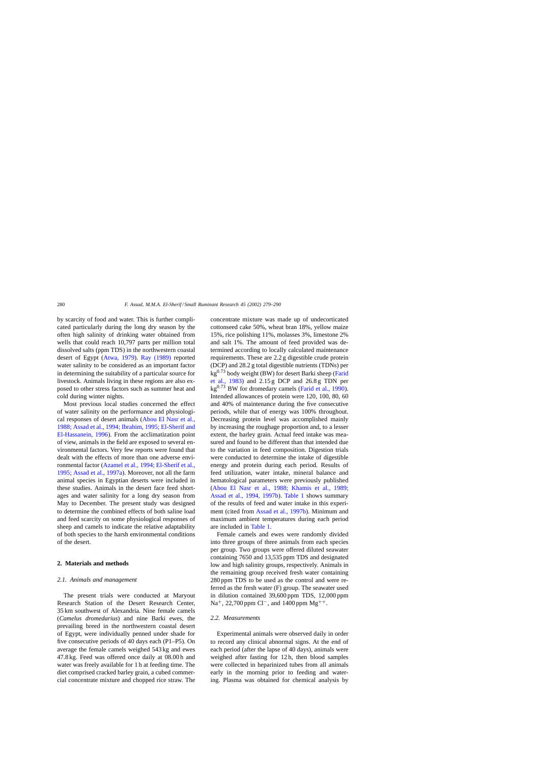by scarcity of food and water. This is further complicated particularly during the long dry season by the often high salinity of drinking water obtained from wells that could reach 10,797 parts per million total dissolved salts (ppm TDS) in the northwestern coastal desert of Egypt ([Atwa, 1979\)](#page-10-0). [Ray \(1989\)](#page-11-0) reported water salinity to be considered as an important factor in determining the suitability of a particular source for livestock. Animals living in these regions are also exposed to other stress factors such as summer heat and cold during winter nights.

Most previous local studies concerned the effect of water salinity on the performance and physiological responses of desert animals [\(Abou El Nasr et al.,](#page-10-0) [1988; Assad et al., 1994; Ibrahim, 1995; El-Sherif and](#page-10-0) [El-Hassanein, 1996\).](#page-10-0) From the acclimatization point of view, animals in the field are exposed to several environmental factors. Very few reports were found that dealt with the effects of more than one adverse environmental factor ([Azamel et al., 1994; El-Sherif et al.,](#page-10-0) [1995; Assad et al., 1997a\).](#page-10-0) Moreover, not all the farm animal species in Egyptian deserts were included in these studies. Animals in the desert face feed shortages and water salinity for a long dry season from May to December. The present study was designed to determine the combined effects of both saline load and feed scarcity on some physiological responses of sheep and camels to indicate the relative adaptability of both species to the harsh environmental conditions of the desert.

### **2. Materials and methods**

# *2.1. Animals and management*

The present trials were conducted at Maryout Research Station of the Desert Research Center, 35 km southwest of Alexandria. Nine female camels (*Camelus dromedarius*) and nine Barki ewes, the prevailing breed in the northwestern coastal desert of Egypt, were individually penned under shade for five consecutive periods of 40 days each (P1–P5). On average the female camels weighed 543 kg and ewes 47.8 kg. Feed was offered once daily at 08.00 h and water was freely available for 1 h at feeding time. The diet comprised cracked barley grain, a cubed commercial concentrate mixture and chopped rice straw. The concentrate mixture was made up of undecorticated cottonseed cake 50%, wheat bran 18%, yellow maize 15%, rice polishing 11%, molasses 3%, limestone 2% and salt 1%. The amount of feed provided was determined according to locally calculated maintenance requirements. These are 2.2 g digestible crude protein (DCP) and 28.2 g total digestible nutrients (TDNs) per  $kg<sup>0.73</sup>$  body weight (BW) for desert Barki sheep ([Farid](#page-10-0) [et al., 1983\)](#page-10-0) and 2.15 g DCP and 26.8 g TDN per  $kg<sup>0.73</sup>$  BW for dromedary camels ([Farid et al., 1990\).](#page-10-0) Intended allowances of protein were 120, 100, 80, 60 and 40% of maintenance during the five consecutive periods, while that of energy was 100% throughout. Decreasing protein level was accomplished mainly by increasing the roughage proportion and, to a lesser extent, the barley grain. Actual feed intake was measured and found to be different than that intended due to the variation in feed composition. Digestion trials were conducted to determine the intake of digestible energy and protein during each period. Results of feed utilization, water intake, mineral balance and hematological parameters were previously published ([Abou El Nasr et al., 1988; Khamis et al., 19](#page-10-0)89; [Assad et al., 1994, 1997b\)](#page-10-0). [Table 1](#page-2-0) shows summary of the results of feed and water intake in this experiment (cited from [Assad et al., 1997b\).](#page-10-0) Minimum and maximum ambient temperatures during each period are included in [Table 1.](#page-2-0)

Female camels and ewes were randomly divided into three groups of three animals from each species per group. Two groups were offered diluted seawater containing 7650 and 13,535 ppm TDS and designated low and high salinity groups, respectively. Animals in the remaining group received fresh water containing 280 ppm TDS to be used as the control and were referred as the fresh water (F) group. The seawater used in dilution contained 39,600 ppm TDS, 12,000 ppm Na<sup>+</sup>, 22,700 ppm Cl<sup>−</sup>, and 1400 ppm Mg<sup>++</sup>.

# *2.2. Measurements*

Experimental animals were observed daily in order to record any clinical abnormal signs. At the end of each period (after the lapse of 40 days), animals were weighed after fasting for 12 h, then blood samples were collected in heparinized tubes from all animals early in the morning prior to feeding and watering. Plasma was obtained for chemical analysis by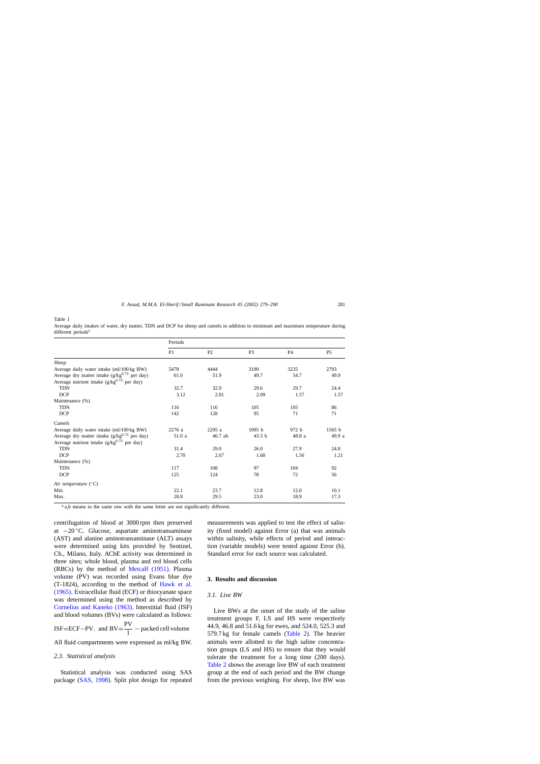<span id="page-2-0"></span>Table 1

|                                                   | Periods        |         |                   |                |                |  |  |  |
|---------------------------------------------------|----------------|---------|-------------------|----------------|----------------|--|--|--|
|                                                   | P <sub>1</sub> | P2      | P <sub>3</sub>    | P <sub>4</sub> | P <sub>5</sub> |  |  |  |
| Sheep                                             |                |         |                   |                |                |  |  |  |
| Average daily water intake (ml/100 kg BW)         | 5478           | 4444    | 3190              | 3235           | 2793           |  |  |  |
| Average dry matter intake $(g/kg^{0.73}$ per day) | 61.0           | 51.9    | 49.7              | 54.7           | 49.9           |  |  |  |
| Average nutrient intake $(g/kg^{0.73}$ per day)   |                |         |                   |                |                |  |  |  |
| <b>TDN</b>                                        | 32.7           | 32.9    | 29.6              | 29.7           | 24.4           |  |  |  |
| <b>DCP</b>                                        | 3.12           | 2.81    | 2.09              | 1.57           | 1.57           |  |  |  |
| Maintenance (%)                                   |                |         |                   |                |                |  |  |  |
| <b>TDN</b>                                        | 116            | 116     | 105               | 105            | 86             |  |  |  |
| <b>DCP</b>                                        | 142            | 128     | 95                | 71             | 71             |  |  |  |
| Camels                                            |                |         |                   |                |                |  |  |  |
| Average daily water intake (ml/100 kg BW)         | 2276 a         | 2295 a  | 1095 <sub>b</sub> | 972 b          | 1565 b         |  |  |  |
| Average dry matter intake $(g/kg^{0.73}$ per day) | 51.0 a         | 46.7 ab | 43.3 <sub>b</sub> | 48.8 a         | 49.9 a         |  |  |  |
| Average nutrient intake $(g/kg^{0.73}$ per day)   |                |         |                   |                |                |  |  |  |
| <b>TDN</b>                                        | 31.4           | 29.0    | 26.0              | 27.9           | 24.8           |  |  |  |
| <b>DCP</b>                                        | 2.70           | 2.67    | 1.68              | 1.56           | 1.21           |  |  |  |
| Maintenance (%)                                   |                |         |                   |                |                |  |  |  |
| <b>TDN</b>                                        | 117            | 108     | 97                | 104            | 92             |  |  |  |
| <b>DCP</b>                                        | 125            | 124     | 78                | 72             | 56             |  |  |  |
| Air temperature $({}^{\circ}C)$                   |                |         |                   |                |                |  |  |  |
| Min.                                              | 22.1           | 23.7    | 12.8              | 12.0           | 10.1           |  |  |  |
| Max.                                              | 28.8           | 29.5    | 23.0              | 18.9           | 17.3           |  |  |  |

Average daily intakes of water, dry matter, TDN and DCP for sheep and camels in addition to minimum and maximum temperature during different periods<sup>a</sup>

<sup>a</sup> a,b means in the same row with the same letter are not significantly different.

centrifugation of blood at 3000 rpm then preserved at −20 ◦C. Glucose, aspartate aminotransaminase (AST) and alanine aminotransaminase (ALT) assays were determined using kits provided by Sentinel, Ch., Milano, Italy. AChE activity was determined in three sites; whole blood, plasma and red blood cells (RBCs) by the method of [Metcalf \(1951\).](#page-10-0) Plasma volume (PV) was recorded using Evans blue dye (T-1824), according to the method of [Hawk et al.](#page-10-0) [\(1965\). E](#page-10-0)xtracellular fluid (ECF) or thiocyanate space was determined using the method as described by [Cornelius and Kaneko \(1963\).](#page-10-0) Interstitial fluid (ISF) and blood volumes (BVs) were calculated as follows:

ISF=ECF-PV, and  $BV = \frac{PV}{1}$  – packed cell volume

All fluid compartments were expressed as ml/kg BW.

### *2.3. Statistical analysis*

Statistical analysis was conducted using SAS package [\(SAS, 1998\).](#page-11-0) Split plot design for repeated measurements was applied to test the effect of salinity (fixed model) against Error (a) that was animals within salinity, while effects of period and interaction (variable models) were tested against Error (b). Standard error for each source was calculated.

### **3. Results and discussion**

# *3.1. Live BW*

Live BWs at the onset of the study of the saline treatment groups F, LS and HS were respectively 44.9, 46.8 and 51.6 kg for ewes, and 524.0, 525.3 and 579.7 kg for female camels ([Table 2\).](#page-3-0) The heavier animals were allotted to the high saline concentration groups (LS and HS) to ensure that they would tolerate the treatment for a long time (200 days). [Table 2](#page-3-0) shows the average live BW of each treatment group at the end of each period and the BW change from the previous weighing. For sheep, live BW was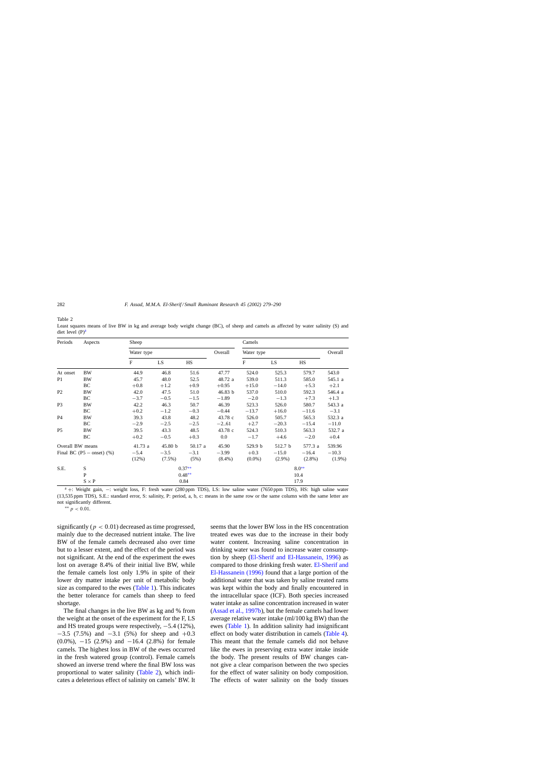<span id="page-3-0"></span>Table 2

| Periods<br>Aspects |                             | Sheep        |           |          |           | Camels       |           |           |           |  |
|--------------------|-----------------------------|--------------|-----------|----------|-----------|--------------|-----------|-----------|-----------|--|
|                    |                             | Water type   |           |          | Overall   | Water type   | Overall   |           |           |  |
|                    |                             | $\mathbf{F}$ | LS        | HS       |           | $\mathbf{F}$ | LS        | HS        |           |  |
| At onset           | <b>BW</b>                   | 44.9         | 46.8      | 51.6     | 47.77     | 524.0        | 525.3     | 579.7     | 543.0     |  |
| P <sub>1</sub>     | <b>BW</b>                   | 45.7         | 48.0      | 52.5     | 48.72 a   | 539.0        | 511.3     | 585.0     | 545.1 a   |  |
|                    | BC                          | $+0.8$       | $+1.2$    | $+0.9$   | $+0.95$   | $+15.0$      | $-14.0$   | $+5.3$    | $+2.1$    |  |
| P2                 | <b>BW</b>                   | 42.0         | 47.5      | 51.0     | 46.83 b   | 537.0        | 510.0     | 592.3     | 546.4 a   |  |
|                    | BC                          | $-3.7$       | $-0.5$    | $-1.5$   | $-1.89$   | $-2.0$       | $-1.3$    | $+7.3$    | $+1.3$    |  |
| P <sub>3</sub>     | <b>BW</b>                   | 42.2         | 46.3      | 50.7     | 46.39     | 523.3        | 526.0     | 580.7     | 543.3 a   |  |
|                    | BC                          | $+0.2$       | $-1.2$    | $-0.3$   | $-0.44$   | $-13.7$      | $+16.0$   | $-11.6$   | $-3.1$    |  |
| <b>P4</b>          | <b>BW</b>                   | 39.3         | 43.8      | 48.2     | 43.78 c   | 526.0        | 505.7     | 565.3     | 532.3 a   |  |
|                    | BC                          | $-2.9$       | $-2.5$    | $-2.5$   | $-2.61$   | $+2.7$       | $-20.3$   | $-15.4$   | $-11.0$   |  |
| P <sub>5</sub>     | <b>BW</b>                   | 39.5         | 43.3      | 48.5     | 43.78 c   | 524.3        | 510.3     | 563.3     | 532.7 a   |  |
|                    | BC                          | $+0.2$       | $-0.5$    | $+0.3$   | $0.0\,$   | $-1.7$       | $+4.6$    | $-2.0$    | $+0.4$    |  |
| Overall BW means   |                             | 41.73 a      | 45.80 b   | 50.17 a  | 45.90     | 529.9 b      | 512.7 b   | 577.3 a   | 539.96    |  |
|                    | Final BC (P5 $-$ onset) (%) | $-5.4$       | $-3.5$    | $-3.1$   | $-3.99$   | $+0.3$       | $-15.0$   | $-16.4$   | $-10.3$   |  |
|                    |                             | (12%)        | $(7.5\%)$ | (5%)     | $(8.4\%)$ | $(0.0\%)$    | $(2.9\%)$ | $(2.8\%)$ | $(1.9\%)$ |  |
| S.E.               | S                           |              |           | $0.37**$ |           | $8.0**$      |           |           |           |  |
|                    | $\mathbf{P}$                |              |           | $0.48**$ |           |              | 10.4      |           |           |  |
|                    | $S \times P$                |              |           | 0.84     |           | 17.9         |           |           |           |  |

Least squares means of live BW in kg and average body weight change (BC), of sheep and camels as affected by water salinity (S) and diet level  $(P)^a$ 

<sup>a</sup> <sup>+</sup>: Weight gain, <sup>−</sup>: weight loss, F: fresh water (280 ppm TDS), LS: low saline water (7650 ppm TDS), HS: high saline water (13,535 ppm TDS), S.E.: standard error, S: salinity, P: period, a, b, c: means in the same row or the same column with the same letter are not significantly different.

∗∗ p < 0.01.

significantly ( $p < 0.01$ ) decreased as time progressed, mainly due to the decreased nutrient intake. The live BW of the female camels decreased also over time but to a lesser extent, and the effect of the period was not significant. At the end of the experiment the ewes lost on average 8.4% of their initial live BW, while the female camels lost only 1.9% in spite of their lower dry matter intake per unit of metabolic body size as compared to the ewes ([Table 1\).](#page-2-0) This indicates the better tolerance for camels than sheep to feed shortage.

The final changes in the live BW as kg and % from the weight at the onset of the experiment for the F, LS and HS treated groups were respectively, −5.4 (12%), −3.5 (7.5%) and −3.1 (5%) for sheep and +0.3 (0.0%), −15 (2.9%) and −16.4 (2.8%) for female camels. The highest loss in BW of the ewes occurred in the fresh watered group (control). Female camels showed an inverse trend where the final BW loss was proportional to water salinity (Table 2), which indicates a deleterious effect of salinity on camels' BW. It seems that the lower BW loss in the HS concentration treated ewes was due to the increase in their body water content. Increasing saline concentration in drinking water was found to increase water consumption by sheep ([El-Sherif and El-Hassanein, 1996\)](#page-10-0) as compared to those drinking fresh water. [El-Sherif and](#page-10-0) [El-Hassanein \(1996\)](#page-10-0) found that a large portion of the additional water that was taken by saline treated rams was kept within the body and finally encountered in the intracellular space (ICF). Both species increased water intake as saline concentration increased in water ([Assad et al., 1997b\),](#page-10-0) but the female camels had lower average relative water intake (ml/100 kg BW) than the ewes ([Table 1\).](#page-2-0) In addition salinity had insignificant effect on body water distribution in camels ([Table 4\).](#page-6-0) This meant that the female camels did not behave like the ewes in preserving extra water intake inside the body. The present results of BW changes cannot give a clear comparison between the two species for the effect of water salinity on body composition. The effects of water salinity on the body tissues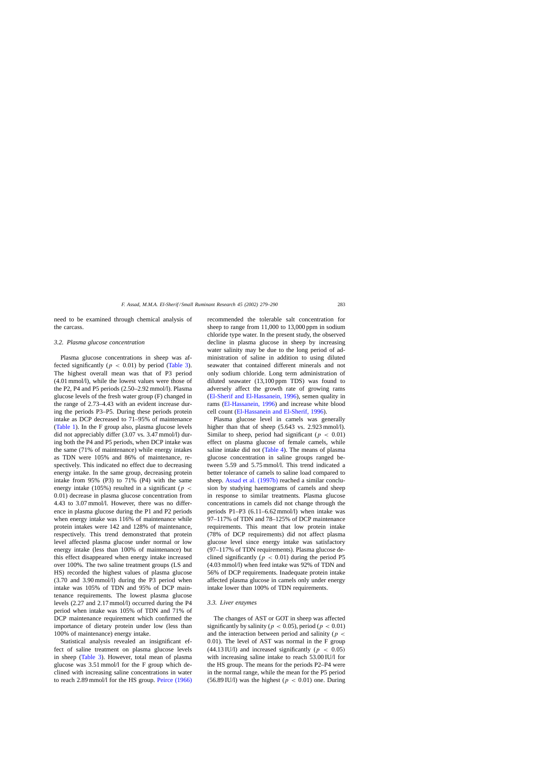need to be examined through chemical analysis of the carcass.

#### *3.2. Plasma glucose concentration*

Plasma glucose concentrations in sheep was affected significantly ( $p < 0.01$ ) by period ([Table 3\).](#page-5-0) The highest overall mean was that of P3 period (4.01 mmol/l), while the lowest values were those of the P2, P4 and P5 periods (2.50–2.92 mmol/l). Plasma glucose levels of the fresh water group (F) changed in the range of 2.73–4.43 with an evident increase during the periods P3–P5. During these periods protein intake as DCP decreased to 71–95% of maintenance ([Table 1\).](#page-2-0) In the F group also, plasma glucose levels did not appreciably differ (3.07 vs. 3.47 mmol/l) during both the P4 and P5 periods, when DCP intake was the same (71% of maintenance) while energy intakes as TDN were 105% and 86% of maintenance, respectively. This indicated no effect due to decreasing energy intake. In the same group, decreasing protein intake from 95% (P3) to 71% (P4) with the same energy intake (105%) resulted in a significant ( $p <$ 0.01) decrease in plasma glucose concentration from 4.43 to 3.07 mmol/l. However, there was no difference in plasma glucose during the P1 and P2 periods when energy intake was 116% of maintenance while protein intakes were 142 and 128% of maintenance, respectively. This trend demonstrated that protein level affected plasma glucose under normal or low energy intake (less than 100% of maintenance) but this effect disappeared when energy intake increased over 100%. The two saline treatment groups (LS and HS) recorded the highest values of plasma glucose (3.70 and 3.90 mmol/l) during the P3 period when intake was 105% of TDN and 95% of DCP maintenance requirements. The lowest plasma glucose levels (2.27 and 2.17 mmol/l) occurred during the P4 period when intake was 105% of TDN and 71% of DCP maintenance requirement which confirmed the importance of dietary protein under low (less than 100% of maintenance) energy intake.

Statistical analysis revealed an insignificant effect of saline treatment on plasma glucose levels in sheep ([Table 3\).](#page-5-0) However, total mean of plasma glucose was 3.51 mmol/l for the F group which declined with increasing saline concentrations in water to reach 2.89 mmol/l for the HS group. [Peirce \(1966\)](#page-10-0)

recommended the tolerable salt concentration for sheep to range from 11,000 to 13,000 ppm in sodium chloride type water. In the present study, the observed decline in plasma glucose in sheep by increasing water salinity may be due to the long period of administration of saline in addition to using diluted seawater that contained different minerals and not only sodium chloride. Long term administration of diluted seawater (13,100 ppm TDS) was found to adversely affect the growth rate of growing rams ([El-Sherif and El-Hassanein, 1996\),](#page-10-0) semen quality in rams ([El-Hassanein, 1996\)](#page-10-0) and increase white blood cell count [\(El-Hassanein and El-Sherif, 1996\).](#page-10-0)

Plasma glucose level in camels was generally higher than that of sheep (5.643 vs. 2.923 mmol/l). Similar to sheep, period had significant ( $p < 0.01$ ) effect on plasma glucose of female camels, while saline intake did not [\(Table 4\).](#page-6-0) The means of plasma glucose concentration in saline groups ranged between 5.59 and 5.75 mmol/l. This trend indicated a better tolerance of camels to saline load compared to sheep. [Assad et al. \(1997b\)](#page-10-0) reached a similar conclusion by studying haemograms of camels and sheep in response to similar treatments. Plasma glucose concentrations in camels did not change through the periods P1–P3 (6.11–6.62 mmol/l) when intake was 97–117% of TDN and 78–125% of DCP maintenance requirements. This meant that low protein intake (78% of DCP requirements) did not affect plasma glucose level since energy intake was satisfactory (97–117% of TDN requirements). Plasma glucose declined significantly ( $p < 0.01$ ) during the period P5 (4.03 mmol/l) when feed intake was 92% of TDN and 56% of DCP requirements. Inadequate protein intake affected plasma glucose in camels only under energy intake lower than 100% of TDN requirements.

#### *3.3. Liver enzymes*

The changes of AST or GOT in sheep was affected significantly by salinity ( $p < 0.05$ ), period ( $p < 0.01$ ) and the interaction between period and salinity ( $p <$ 0.01). The level of AST was normal in the F group  $(44.13 \text{ IU/l})$  and increased significantly ( $p < 0.05$ ) with increasing saline intake to reach 53.00 IU/l for the HS group. The means for the periods P2–P4 were in the normal range, while the mean for the P5 period (56.89 IU/l) was the highest ( $p < 0.01$ ) one. During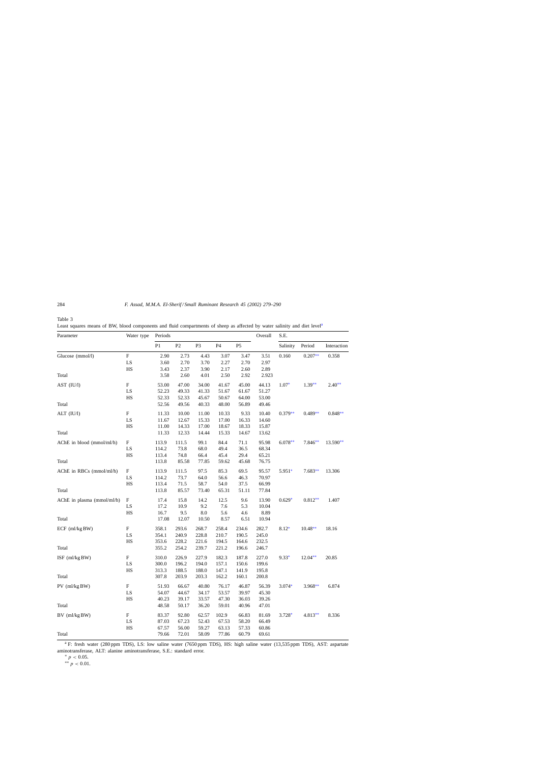| Parameter                  | Water type | Periods        |                |                |                |                | Overall | S.E.      |           |             |
|----------------------------|------------|----------------|----------------|----------------|----------------|----------------|---------|-----------|-----------|-------------|
|                            |            | P <sub>1</sub> | P <sub>2</sub> | P <sub>3</sub> | P <sub>4</sub> | P <sub>5</sub> |         | Salinity  | Period    | Interaction |
| Glucose (mmol/l)           | F          | 2.90           | 2.73           | 4.43           | 3.07           | 3.47           | 3.51    | 0.160     | $0.207**$ | 0.358       |
|                            | LS         | 3.60           | 2.70           | 3.70           | 2.27           | 2.70           | 2.97    |           |           |             |
|                            | HS         | 3.43           | 2.37           | 3.90           | 2.17           | 2.60           | 2.89    |           |           |             |
| Total                      |            | 3.58           | 2.60           | 4.01           | 2.50           | 2.92           | 2.923   |           |           |             |
| AST (IU/l)                 | F          | 53.00          | 47.00          | 34.00          | 41.67          | 45.00          | 44.13   | $1.07*$   | $1.39**$  | $2.40**$    |
|                            | LS         | 52.23          | 49.33          | 41.33          | 51.67          | 61.67          | 51.27   |           |           |             |
|                            | HS         | 52.33          | 52.33          | 45.67          | 50.67          | 64.00          | 53.00   |           |           |             |
| Total                      |            | 52.56          | 49.56          | 40.33          | 48.00          | 56.89          | 49.46   |           |           |             |
| ALT (IU/l)                 | F          | 11.33          | 10.00          | 11.00          | 10.33          | 9.33           | 10.40   | $0.379**$ | $0.489**$ | $0.848**$   |
|                            | LS         | 11.67          | 12.67          | 15.33          | 17.00          | 16.33          | 14.60   |           |           |             |
|                            | HS         | 11.00          | 14.33          | 17.00          | 18.67          | 18.33          | 15.87   |           |           |             |
| Total                      |            | 11.33          | 12.33          | 14.44          | 15.33          | 14.67          | 13.62   |           |           |             |
| AChE in blood (mmol/ml/h)  | F          | 113.9          | 111.5          | 99.1           | 84.4           | 71.1           | 95.98   | $6.078**$ | $7.846**$ | $13.590**$  |
|                            | LS         | 114.2          | 73.8           | 68.0           | 49.4           | 36.5           | 68.34   |           |           |             |
|                            | HS         | 113.4          | 74.8           | 66.4           | 45.4           | 29.4           | 65.21   |           |           |             |
| Total                      |            | 113.8          | 85.58          | 77.85          | 59.62          | 45.68          | 76.75   |           |           |             |
| AChE in RBCs (mmol/ml/h)   | F          | 113.9          | 111.5          | 97.5           | 85.3           | 69.5           | 95.57   | $5.951*$  | $7.683**$ | 13.306      |
|                            | LS         | 114.2          | 73.7           | 64.0           | 56.6           | 46.3           | 70.97   |           |           |             |
|                            | HS         | 113.4          | 71.5           | 58.7           | 54.0           | 37.5           | 66.99   |           |           |             |
| Total                      |            | 113.8          | 85.57          | 73.40          | 65.31          | 51.11          | 77.84   |           |           |             |
| AChE in plasma (mmol/ml/h) | F          | 17.4           | 15.8           | 14.2           | 12.5           | 9.6            | 13.90   | $0.629*$  | $0.812**$ | 1.407       |
|                            | LS         | 17.2           | 10.9           | 9.2            | 7.6            | 5.3            | 10.04   |           |           |             |
|                            | HS         | 16.7           | 9.5            | 8.0            | 5.6            | 4.6            | 8.89    |           |           |             |
| Total                      |            | 17.08          | 12.07          | 10.50          | 8.57           | 6.51           | 10.94   |           |           |             |
| $ECF$ (ml/kg BW)           | F          | 358.1          | 293.6          | 268.7          | 258.4          | 234.6          | 282.7   | $8.12*$   | $10.48**$ | 18.16       |
|                            | LS         | 354.1          | 240.9          | 228.8          | 210.7          | 190.5          | 245.0   |           |           |             |
|                            | HS         | 353.6          | 228.2          | 221.6          | 194.5          | 164.6          | 232.5   |           |           |             |
| Total                      |            | 355.2          | 254.2          | 239.7          | 221.2          | 196.6          | 246.7   |           |           |             |
| ISF (ml/kg BW)             | F          | 310.0          | 226.9          | 227.9          | 182.3          | 187.8          | 227.0   | $9.33*$   | 12.04**   | 20.85       |
|                            | LS         | 300.0          | 196.2          | 194.0          | 157.1          | 150.6          | 199.6   |           |           |             |
|                            | HS         | 313.3          | 188.5          | 188.0          | 147.1          | 141.9          | 195.8   |           |           |             |
| Total                      |            | 307.8          | 203.9          | 203.3          | 162.2          | 160.1          | 200.8   |           |           |             |
| PV (ml/kg BW)              | F          | 51.93          | 66.67          | 40.80          | 76.17          | 46.87          | 56.39   | $3.074*$  | $3.968**$ | 6.874       |
|                            | LS         | 54.07          | 44.67          | 34.17          | 53.57          | 39.97          | 45.30   |           |           |             |
|                            | HS         | 40.23          | 39.17          | 33.57          | 47.30          | 36.03          | 39.26   |           |           |             |
| Total                      |            | 48.58          | 50.17          | 36.20          | 59.01          | 40.96          | 47.01   |           |           |             |
| BV (ml/kg BW)              | F          | 83.37          | 92.80          | 62.57          | 102.9          | 66.83          | 81.69   | $3.728*$  | $4.813**$ | 8.336       |
|                            | LS         | 87.03          | 67.23          | 52.43          | 67.53          | 58.20          | 66.49   |           |           |             |
|                            | HS         | 67.57          | 56.00          | 59.27          | 63.13          | 57.33          | 60.86   |           |           |             |
| Total                      |            | 79.66          | 72.01          | 58.09          | 77.86          | 60.79          | 69.61   |           |           |             |

<span id="page-5-0"></span>Table 3 Least squares means of BW, blood components and fluid compartments of sheep as affected by water salinity and diet level<sup>a</sup>

<sup>a</sup> F: fresh water (280 ppm TDS), LS: low saline water (7650 ppm TDS), HS: high saline water (13,535 ppm TDS), AST: aspartate aminotransferase, ALT: alanine aminotransferase, S.E.: standard error.

\*  $p < 0.05$ .

∗∗ p < 0.01.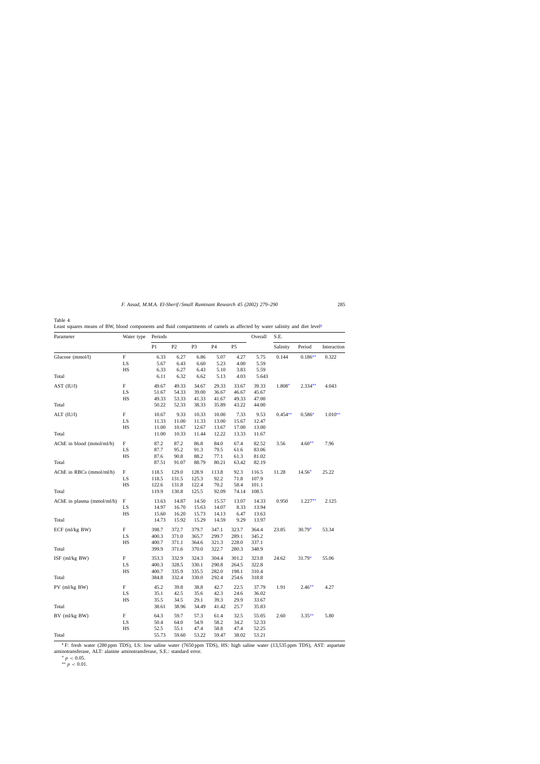<span id="page-6-0"></span>Table 4

Least squares means of BW, blood components and fluid compartments of camels as affected by water salinity and diet level<sup>a</sup>

| P <sub>1</sub><br>P2<br>P <sub>5</sub><br>P <sub>3</sub><br>P <sub>4</sub><br>Salinity<br>Period<br>Interaction<br>$\boldsymbol{\mathrm{F}}$<br>6.33<br>6.27<br>5.07<br>0.144<br>$0.186**$<br>0.322<br>6.86<br>4.27<br>5.75<br>5.59<br>LS<br>5.67<br>6.43<br>6.60<br>5.23<br>4.00<br>HS<br>6.33<br>6.27<br>5.10<br>5.59<br>6.43<br>3.83<br>6.11<br>6.32<br>6.62<br>5.13<br>4.03<br>5.643<br>F<br>49.67<br>49.33<br>34.67<br>29.33<br>39.33<br>1.808*<br>$2.334**$<br>4.043<br>33.67<br>LS<br>54.33<br>39.00<br>46.67<br>51.67<br>36.67<br>45.67<br>HS<br>49.33<br>53.33<br>41.33<br>49.33<br>41.67<br>47.00<br>50.22<br>52.33<br>38.33<br>35.89<br>43.22<br>44.00<br>F<br>9.33<br>$0.454**$<br>$1.010**$<br>10.67<br>10.33<br>10.00<br>7.33<br>9.53<br>$0.586*$<br>LS<br>11.33<br>11.00<br>11.33<br>13.00<br>15.67<br>12.47<br>HS<br>11.00<br>10.67<br>12.67<br>17.00<br>13.00<br>13.67<br>11.00<br>10.33<br>11.44<br>12.22<br>13.33<br>11.67<br>F<br>87.2<br>87.2<br>AChE in blood (mmol/ml/h)<br>86.8<br>84.0<br>67.4<br>82.52<br>3.56<br>$4.60**$<br>7.96<br>95.2<br>LS<br>87.7<br>91.3<br>79.5<br>61.6<br>83.06<br>HS<br>87.6<br>90.8<br>88.2<br>77.1<br>61.3<br>81.02<br>87.51<br>91.07<br>88.79<br>80.21<br>63.42<br>82.19<br>F<br>92.3<br>14.56*<br>118.5<br>129.0<br>128.9<br>113.8<br>116.5<br>11.28<br>25.22<br>LS<br>118.5<br>92.2<br>71.8<br>107.9<br>131.5<br>125.3<br>$_{\rm HS}$<br>122.6<br>70.2<br>58.4<br>131.8<br>122.4<br>101.1<br>108.5<br>119.9<br>130.8<br>125.5<br>92.09<br>74.14<br>$\Delta$ ChE in plasma (mmol/ml/h)<br>$_{\rm F}$<br>13.63<br>14.87<br>14.50<br>15.57<br>13.07<br>14.33<br>0.950<br>$1.227**$<br>2.125<br>LS<br>14.97<br>16.70<br>15.63<br>14.07<br>8.33<br>13.94<br>HS<br>16.20<br>15.73<br>14.13<br>6.47<br>15.60<br>13.63<br>14.73<br>15.92<br>15.29<br>14.59<br>9.29<br>13.97<br>$ECF$ (ml/kg BW)<br>F<br>398.7<br>372.7<br>379.7<br>347.1<br>364.4<br>23.85<br>$30.79*$<br>53.34<br>323.7<br>LS<br>400.3<br>371.0<br>365.7<br>299.7<br>289.1<br>345.2<br>HS<br>400.7<br>371.1<br>364.6<br>321.3<br>228.0<br>337.1<br>399.9<br>371.6<br>370.0<br>322.7<br>280.3<br>348.9<br>F<br>353.3<br>324.3<br>304.4<br>323.8<br>ISF $(ml/kg BW)$<br>332.9<br>301.2<br>24.62<br>$31.79*$<br>55.06<br>290.8<br>322.8<br>LS<br>400.3<br>328.5<br>330.1<br>264.5<br>HS<br>335.9<br>198.1<br>310.4<br>400.7<br>335.5<br>282.0<br>384.8<br>332.4<br>330.0<br>292.4<br>318.8<br>254.6<br>PV (ml/kg BW)<br>F<br>45.2<br>39.8<br>38.8<br>42.7<br>22.5<br>37.79<br>1.91<br>$2.46**$<br>4.27<br>LS<br>35.1<br>42.5<br>35.6<br>42.3<br>24.6<br>36.02<br>HS<br>35.5<br>34.5<br>29.1<br>39.3<br>29.9<br>33.67<br>38.61<br>38.96<br>34.49<br>41.42<br>25.7<br>35.83<br>F<br>64.3<br>$BV$ (ml/kg $BW$ )<br>59.7<br>57.3<br>61.4<br>32.5<br>55.05<br>2.60<br>$3.35**$<br>5.80<br>LS<br>50.4<br>54.9<br>58.2<br>34.2<br>64.0<br>52.33<br>HS<br>52.5<br>55.1<br>47.4<br>58.8<br>47.4<br>52.25 | Parameter                  | Water type | Periods |       |       |       |       | Overall | S.E. |  |  |
|-----------------------------------------------------------------------------------------------------------------------------------------------------------------------------------------------------------------------------------------------------------------------------------------------------------------------------------------------------------------------------------------------------------------------------------------------------------------------------------------------------------------------------------------------------------------------------------------------------------------------------------------------------------------------------------------------------------------------------------------------------------------------------------------------------------------------------------------------------------------------------------------------------------------------------------------------------------------------------------------------------------------------------------------------------------------------------------------------------------------------------------------------------------------------------------------------------------------------------------------------------------------------------------------------------------------------------------------------------------------------------------------------------------------------------------------------------------------------------------------------------------------------------------------------------------------------------------------------------------------------------------------------------------------------------------------------------------------------------------------------------------------------------------------------------------------------------------------------------------------------------------------------------------------------------------------------------------------------------------------------------------------------------------------------------------------------------------------------------------------------------------------------------------------------------------------------------------------------------------------------------------------------------------------------------------------------------------------------------------------------------------------------------------------------------------------------------------------------------------------------------------------------------------------------------------------------------------------------------------------------------------------------------------------------------------------------------------------------------------------------------------------------------------------------------------------------------------------------------------------------------------------------------------------|----------------------------|------------|---------|-------|-------|-------|-------|---------|------|--|--|
|                                                                                                                                                                                                                                                                                                                                                                                                                                                                                                                                                                                                                                                                                                                                                                                                                                                                                                                                                                                                                                                                                                                                                                                                                                                                                                                                                                                                                                                                                                                                                                                                                                                                                                                                                                                                                                                                                                                                                                                                                                                                                                                                                                                                                                                                                                                                                                                                                                                                                                                                                                                                                                                                                                                                                                                                                                                                                                                 |                            |            |         |       |       |       |       |         |      |  |  |
|                                                                                                                                                                                                                                                                                                                                                                                                                                                                                                                                                                                                                                                                                                                                                                                                                                                                                                                                                                                                                                                                                                                                                                                                                                                                                                                                                                                                                                                                                                                                                                                                                                                                                                                                                                                                                                                                                                                                                                                                                                                                                                                                                                                                                                                                                                                                                                                                                                                                                                                                                                                                                                                                                                                                                                                                                                                                                                                 | Glucose (mmol/l)           |            |         |       |       |       |       |         |      |  |  |
|                                                                                                                                                                                                                                                                                                                                                                                                                                                                                                                                                                                                                                                                                                                                                                                                                                                                                                                                                                                                                                                                                                                                                                                                                                                                                                                                                                                                                                                                                                                                                                                                                                                                                                                                                                                                                                                                                                                                                                                                                                                                                                                                                                                                                                                                                                                                                                                                                                                                                                                                                                                                                                                                                                                                                                                                                                                                                                                 |                            |            |         |       |       |       |       |         |      |  |  |
|                                                                                                                                                                                                                                                                                                                                                                                                                                                                                                                                                                                                                                                                                                                                                                                                                                                                                                                                                                                                                                                                                                                                                                                                                                                                                                                                                                                                                                                                                                                                                                                                                                                                                                                                                                                                                                                                                                                                                                                                                                                                                                                                                                                                                                                                                                                                                                                                                                                                                                                                                                                                                                                                                                                                                                                                                                                                                                                 |                            |            |         |       |       |       |       |         |      |  |  |
|                                                                                                                                                                                                                                                                                                                                                                                                                                                                                                                                                                                                                                                                                                                                                                                                                                                                                                                                                                                                                                                                                                                                                                                                                                                                                                                                                                                                                                                                                                                                                                                                                                                                                                                                                                                                                                                                                                                                                                                                                                                                                                                                                                                                                                                                                                                                                                                                                                                                                                                                                                                                                                                                                                                                                                                                                                                                                                                 | Total                      |            |         |       |       |       |       |         |      |  |  |
|                                                                                                                                                                                                                                                                                                                                                                                                                                                                                                                                                                                                                                                                                                                                                                                                                                                                                                                                                                                                                                                                                                                                                                                                                                                                                                                                                                                                                                                                                                                                                                                                                                                                                                                                                                                                                                                                                                                                                                                                                                                                                                                                                                                                                                                                                                                                                                                                                                                                                                                                                                                                                                                                                                                                                                                                                                                                                                                 | AST (IU/l)                 |            |         |       |       |       |       |         |      |  |  |
|                                                                                                                                                                                                                                                                                                                                                                                                                                                                                                                                                                                                                                                                                                                                                                                                                                                                                                                                                                                                                                                                                                                                                                                                                                                                                                                                                                                                                                                                                                                                                                                                                                                                                                                                                                                                                                                                                                                                                                                                                                                                                                                                                                                                                                                                                                                                                                                                                                                                                                                                                                                                                                                                                                                                                                                                                                                                                                                 |                            |            |         |       |       |       |       |         |      |  |  |
|                                                                                                                                                                                                                                                                                                                                                                                                                                                                                                                                                                                                                                                                                                                                                                                                                                                                                                                                                                                                                                                                                                                                                                                                                                                                                                                                                                                                                                                                                                                                                                                                                                                                                                                                                                                                                                                                                                                                                                                                                                                                                                                                                                                                                                                                                                                                                                                                                                                                                                                                                                                                                                                                                                                                                                                                                                                                                                                 |                            |            |         |       |       |       |       |         |      |  |  |
|                                                                                                                                                                                                                                                                                                                                                                                                                                                                                                                                                                                                                                                                                                                                                                                                                                                                                                                                                                                                                                                                                                                                                                                                                                                                                                                                                                                                                                                                                                                                                                                                                                                                                                                                                                                                                                                                                                                                                                                                                                                                                                                                                                                                                                                                                                                                                                                                                                                                                                                                                                                                                                                                                                                                                                                                                                                                                                                 | Total                      |            |         |       |       |       |       |         |      |  |  |
|                                                                                                                                                                                                                                                                                                                                                                                                                                                                                                                                                                                                                                                                                                                                                                                                                                                                                                                                                                                                                                                                                                                                                                                                                                                                                                                                                                                                                                                                                                                                                                                                                                                                                                                                                                                                                                                                                                                                                                                                                                                                                                                                                                                                                                                                                                                                                                                                                                                                                                                                                                                                                                                                                                                                                                                                                                                                                                                 | ALT (IU/l)                 |            |         |       |       |       |       |         |      |  |  |
|                                                                                                                                                                                                                                                                                                                                                                                                                                                                                                                                                                                                                                                                                                                                                                                                                                                                                                                                                                                                                                                                                                                                                                                                                                                                                                                                                                                                                                                                                                                                                                                                                                                                                                                                                                                                                                                                                                                                                                                                                                                                                                                                                                                                                                                                                                                                                                                                                                                                                                                                                                                                                                                                                                                                                                                                                                                                                                                 |                            |            |         |       |       |       |       |         |      |  |  |
|                                                                                                                                                                                                                                                                                                                                                                                                                                                                                                                                                                                                                                                                                                                                                                                                                                                                                                                                                                                                                                                                                                                                                                                                                                                                                                                                                                                                                                                                                                                                                                                                                                                                                                                                                                                                                                                                                                                                                                                                                                                                                                                                                                                                                                                                                                                                                                                                                                                                                                                                                                                                                                                                                                                                                                                                                                                                                                                 |                            |            |         |       |       |       |       |         |      |  |  |
|                                                                                                                                                                                                                                                                                                                                                                                                                                                                                                                                                                                                                                                                                                                                                                                                                                                                                                                                                                                                                                                                                                                                                                                                                                                                                                                                                                                                                                                                                                                                                                                                                                                                                                                                                                                                                                                                                                                                                                                                                                                                                                                                                                                                                                                                                                                                                                                                                                                                                                                                                                                                                                                                                                                                                                                                                                                                                                                 | Total                      |            |         |       |       |       |       |         |      |  |  |
|                                                                                                                                                                                                                                                                                                                                                                                                                                                                                                                                                                                                                                                                                                                                                                                                                                                                                                                                                                                                                                                                                                                                                                                                                                                                                                                                                                                                                                                                                                                                                                                                                                                                                                                                                                                                                                                                                                                                                                                                                                                                                                                                                                                                                                                                                                                                                                                                                                                                                                                                                                                                                                                                                                                                                                                                                                                                                                                 |                            |            |         |       |       |       |       |         |      |  |  |
|                                                                                                                                                                                                                                                                                                                                                                                                                                                                                                                                                                                                                                                                                                                                                                                                                                                                                                                                                                                                                                                                                                                                                                                                                                                                                                                                                                                                                                                                                                                                                                                                                                                                                                                                                                                                                                                                                                                                                                                                                                                                                                                                                                                                                                                                                                                                                                                                                                                                                                                                                                                                                                                                                                                                                                                                                                                                                                                 |                            |            |         |       |       |       |       |         |      |  |  |
|                                                                                                                                                                                                                                                                                                                                                                                                                                                                                                                                                                                                                                                                                                                                                                                                                                                                                                                                                                                                                                                                                                                                                                                                                                                                                                                                                                                                                                                                                                                                                                                                                                                                                                                                                                                                                                                                                                                                                                                                                                                                                                                                                                                                                                                                                                                                                                                                                                                                                                                                                                                                                                                                                                                                                                                                                                                                                                                 |                            |            |         |       |       |       |       |         |      |  |  |
|                                                                                                                                                                                                                                                                                                                                                                                                                                                                                                                                                                                                                                                                                                                                                                                                                                                                                                                                                                                                                                                                                                                                                                                                                                                                                                                                                                                                                                                                                                                                                                                                                                                                                                                                                                                                                                                                                                                                                                                                                                                                                                                                                                                                                                                                                                                                                                                                                                                                                                                                                                                                                                                                                                                                                                                                                                                                                                                 | Total                      |            |         |       |       |       |       |         |      |  |  |
|                                                                                                                                                                                                                                                                                                                                                                                                                                                                                                                                                                                                                                                                                                                                                                                                                                                                                                                                                                                                                                                                                                                                                                                                                                                                                                                                                                                                                                                                                                                                                                                                                                                                                                                                                                                                                                                                                                                                                                                                                                                                                                                                                                                                                                                                                                                                                                                                                                                                                                                                                                                                                                                                                                                                                                                                                                                                                                                 | $AChE$ in RBCs (mmol/ml/h) |            |         |       |       |       |       |         |      |  |  |
|                                                                                                                                                                                                                                                                                                                                                                                                                                                                                                                                                                                                                                                                                                                                                                                                                                                                                                                                                                                                                                                                                                                                                                                                                                                                                                                                                                                                                                                                                                                                                                                                                                                                                                                                                                                                                                                                                                                                                                                                                                                                                                                                                                                                                                                                                                                                                                                                                                                                                                                                                                                                                                                                                                                                                                                                                                                                                                                 |                            |            |         |       |       |       |       |         |      |  |  |
|                                                                                                                                                                                                                                                                                                                                                                                                                                                                                                                                                                                                                                                                                                                                                                                                                                                                                                                                                                                                                                                                                                                                                                                                                                                                                                                                                                                                                                                                                                                                                                                                                                                                                                                                                                                                                                                                                                                                                                                                                                                                                                                                                                                                                                                                                                                                                                                                                                                                                                                                                                                                                                                                                                                                                                                                                                                                                                                 |                            |            |         |       |       |       |       |         |      |  |  |
|                                                                                                                                                                                                                                                                                                                                                                                                                                                                                                                                                                                                                                                                                                                                                                                                                                                                                                                                                                                                                                                                                                                                                                                                                                                                                                                                                                                                                                                                                                                                                                                                                                                                                                                                                                                                                                                                                                                                                                                                                                                                                                                                                                                                                                                                                                                                                                                                                                                                                                                                                                                                                                                                                                                                                                                                                                                                                                                 | Total                      |            |         |       |       |       |       |         |      |  |  |
|                                                                                                                                                                                                                                                                                                                                                                                                                                                                                                                                                                                                                                                                                                                                                                                                                                                                                                                                                                                                                                                                                                                                                                                                                                                                                                                                                                                                                                                                                                                                                                                                                                                                                                                                                                                                                                                                                                                                                                                                                                                                                                                                                                                                                                                                                                                                                                                                                                                                                                                                                                                                                                                                                                                                                                                                                                                                                                                 |                            |            |         |       |       |       |       |         |      |  |  |
|                                                                                                                                                                                                                                                                                                                                                                                                                                                                                                                                                                                                                                                                                                                                                                                                                                                                                                                                                                                                                                                                                                                                                                                                                                                                                                                                                                                                                                                                                                                                                                                                                                                                                                                                                                                                                                                                                                                                                                                                                                                                                                                                                                                                                                                                                                                                                                                                                                                                                                                                                                                                                                                                                                                                                                                                                                                                                                                 |                            |            |         |       |       |       |       |         |      |  |  |
|                                                                                                                                                                                                                                                                                                                                                                                                                                                                                                                                                                                                                                                                                                                                                                                                                                                                                                                                                                                                                                                                                                                                                                                                                                                                                                                                                                                                                                                                                                                                                                                                                                                                                                                                                                                                                                                                                                                                                                                                                                                                                                                                                                                                                                                                                                                                                                                                                                                                                                                                                                                                                                                                                                                                                                                                                                                                                                                 |                            |            |         |       |       |       |       |         |      |  |  |
|                                                                                                                                                                                                                                                                                                                                                                                                                                                                                                                                                                                                                                                                                                                                                                                                                                                                                                                                                                                                                                                                                                                                                                                                                                                                                                                                                                                                                                                                                                                                                                                                                                                                                                                                                                                                                                                                                                                                                                                                                                                                                                                                                                                                                                                                                                                                                                                                                                                                                                                                                                                                                                                                                                                                                                                                                                                                                                                 | Total                      |            |         |       |       |       |       |         |      |  |  |
|                                                                                                                                                                                                                                                                                                                                                                                                                                                                                                                                                                                                                                                                                                                                                                                                                                                                                                                                                                                                                                                                                                                                                                                                                                                                                                                                                                                                                                                                                                                                                                                                                                                                                                                                                                                                                                                                                                                                                                                                                                                                                                                                                                                                                                                                                                                                                                                                                                                                                                                                                                                                                                                                                                                                                                                                                                                                                                                 |                            |            |         |       |       |       |       |         |      |  |  |
|                                                                                                                                                                                                                                                                                                                                                                                                                                                                                                                                                                                                                                                                                                                                                                                                                                                                                                                                                                                                                                                                                                                                                                                                                                                                                                                                                                                                                                                                                                                                                                                                                                                                                                                                                                                                                                                                                                                                                                                                                                                                                                                                                                                                                                                                                                                                                                                                                                                                                                                                                                                                                                                                                                                                                                                                                                                                                                                 |                            |            |         |       |       |       |       |         |      |  |  |
|                                                                                                                                                                                                                                                                                                                                                                                                                                                                                                                                                                                                                                                                                                                                                                                                                                                                                                                                                                                                                                                                                                                                                                                                                                                                                                                                                                                                                                                                                                                                                                                                                                                                                                                                                                                                                                                                                                                                                                                                                                                                                                                                                                                                                                                                                                                                                                                                                                                                                                                                                                                                                                                                                                                                                                                                                                                                                                                 |                            |            |         |       |       |       |       |         |      |  |  |
|                                                                                                                                                                                                                                                                                                                                                                                                                                                                                                                                                                                                                                                                                                                                                                                                                                                                                                                                                                                                                                                                                                                                                                                                                                                                                                                                                                                                                                                                                                                                                                                                                                                                                                                                                                                                                                                                                                                                                                                                                                                                                                                                                                                                                                                                                                                                                                                                                                                                                                                                                                                                                                                                                                                                                                                                                                                                                                                 | Total                      |            |         |       |       |       |       |         |      |  |  |
|                                                                                                                                                                                                                                                                                                                                                                                                                                                                                                                                                                                                                                                                                                                                                                                                                                                                                                                                                                                                                                                                                                                                                                                                                                                                                                                                                                                                                                                                                                                                                                                                                                                                                                                                                                                                                                                                                                                                                                                                                                                                                                                                                                                                                                                                                                                                                                                                                                                                                                                                                                                                                                                                                                                                                                                                                                                                                                                 |                            |            |         |       |       |       |       |         |      |  |  |
|                                                                                                                                                                                                                                                                                                                                                                                                                                                                                                                                                                                                                                                                                                                                                                                                                                                                                                                                                                                                                                                                                                                                                                                                                                                                                                                                                                                                                                                                                                                                                                                                                                                                                                                                                                                                                                                                                                                                                                                                                                                                                                                                                                                                                                                                                                                                                                                                                                                                                                                                                                                                                                                                                                                                                                                                                                                                                                                 |                            |            |         |       |       |       |       |         |      |  |  |
|                                                                                                                                                                                                                                                                                                                                                                                                                                                                                                                                                                                                                                                                                                                                                                                                                                                                                                                                                                                                                                                                                                                                                                                                                                                                                                                                                                                                                                                                                                                                                                                                                                                                                                                                                                                                                                                                                                                                                                                                                                                                                                                                                                                                                                                                                                                                                                                                                                                                                                                                                                                                                                                                                                                                                                                                                                                                                                                 |                            |            |         |       |       |       |       |         |      |  |  |
|                                                                                                                                                                                                                                                                                                                                                                                                                                                                                                                                                                                                                                                                                                                                                                                                                                                                                                                                                                                                                                                                                                                                                                                                                                                                                                                                                                                                                                                                                                                                                                                                                                                                                                                                                                                                                                                                                                                                                                                                                                                                                                                                                                                                                                                                                                                                                                                                                                                                                                                                                                                                                                                                                                                                                                                                                                                                                                                 | Total                      |            |         |       |       |       |       |         |      |  |  |
|                                                                                                                                                                                                                                                                                                                                                                                                                                                                                                                                                                                                                                                                                                                                                                                                                                                                                                                                                                                                                                                                                                                                                                                                                                                                                                                                                                                                                                                                                                                                                                                                                                                                                                                                                                                                                                                                                                                                                                                                                                                                                                                                                                                                                                                                                                                                                                                                                                                                                                                                                                                                                                                                                                                                                                                                                                                                                                                 |                            |            |         |       |       |       |       |         |      |  |  |
|                                                                                                                                                                                                                                                                                                                                                                                                                                                                                                                                                                                                                                                                                                                                                                                                                                                                                                                                                                                                                                                                                                                                                                                                                                                                                                                                                                                                                                                                                                                                                                                                                                                                                                                                                                                                                                                                                                                                                                                                                                                                                                                                                                                                                                                                                                                                                                                                                                                                                                                                                                                                                                                                                                                                                                                                                                                                                                                 |                            |            |         |       |       |       |       |         |      |  |  |
|                                                                                                                                                                                                                                                                                                                                                                                                                                                                                                                                                                                                                                                                                                                                                                                                                                                                                                                                                                                                                                                                                                                                                                                                                                                                                                                                                                                                                                                                                                                                                                                                                                                                                                                                                                                                                                                                                                                                                                                                                                                                                                                                                                                                                                                                                                                                                                                                                                                                                                                                                                                                                                                                                                                                                                                                                                                                                                                 |                            |            |         |       |       |       |       |         |      |  |  |
|                                                                                                                                                                                                                                                                                                                                                                                                                                                                                                                                                                                                                                                                                                                                                                                                                                                                                                                                                                                                                                                                                                                                                                                                                                                                                                                                                                                                                                                                                                                                                                                                                                                                                                                                                                                                                                                                                                                                                                                                                                                                                                                                                                                                                                                                                                                                                                                                                                                                                                                                                                                                                                                                                                                                                                                                                                                                                                                 | Total                      |            |         |       |       |       |       |         |      |  |  |
|                                                                                                                                                                                                                                                                                                                                                                                                                                                                                                                                                                                                                                                                                                                                                                                                                                                                                                                                                                                                                                                                                                                                                                                                                                                                                                                                                                                                                                                                                                                                                                                                                                                                                                                                                                                                                                                                                                                                                                                                                                                                                                                                                                                                                                                                                                                                                                                                                                                                                                                                                                                                                                                                                                                                                                                                                                                                                                                 |                            |            |         |       |       |       |       |         |      |  |  |
|                                                                                                                                                                                                                                                                                                                                                                                                                                                                                                                                                                                                                                                                                                                                                                                                                                                                                                                                                                                                                                                                                                                                                                                                                                                                                                                                                                                                                                                                                                                                                                                                                                                                                                                                                                                                                                                                                                                                                                                                                                                                                                                                                                                                                                                                                                                                                                                                                                                                                                                                                                                                                                                                                                                                                                                                                                                                                                                 |                            |            |         |       |       |       |       |         |      |  |  |
|                                                                                                                                                                                                                                                                                                                                                                                                                                                                                                                                                                                                                                                                                                                                                                                                                                                                                                                                                                                                                                                                                                                                                                                                                                                                                                                                                                                                                                                                                                                                                                                                                                                                                                                                                                                                                                                                                                                                                                                                                                                                                                                                                                                                                                                                                                                                                                                                                                                                                                                                                                                                                                                                                                                                                                                                                                                                                                                 |                            |            |         |       |       |       |       |         |      |  |  |
|                                                                                                                                                                                                                                                                                                                                                                                                                                                                                                                                                                                                                                                                                                                                                                                                                                                                                                                                                                                                                                                                                                                                                                                                                                                                                                                                                                                                                                                                                                                                                                                                                                                                                                                                                                                                                                                                                                                                                                                                                                                                                                                                                                                                                                                                                                                                                                                                                                                                                                                                                                                                                                                                                                                                                                                                                                                                                                                 | Total                      |            | 55.73   | 59.60 | 53.22 | 59.47 | 38.02 | 53.21   |      |  |  |

<sup>a</sup> F: fresh water (280 ppm TDS), LS: low saline water (7650 ppm TDS), HS: high saline water (13,535 ppm TDS), AST: aspartate aminotransferase, ALT: alanine aminotransferase, S.E.: standard error.

\*  $p < 0.05$ .

∗∗ p < 0.01.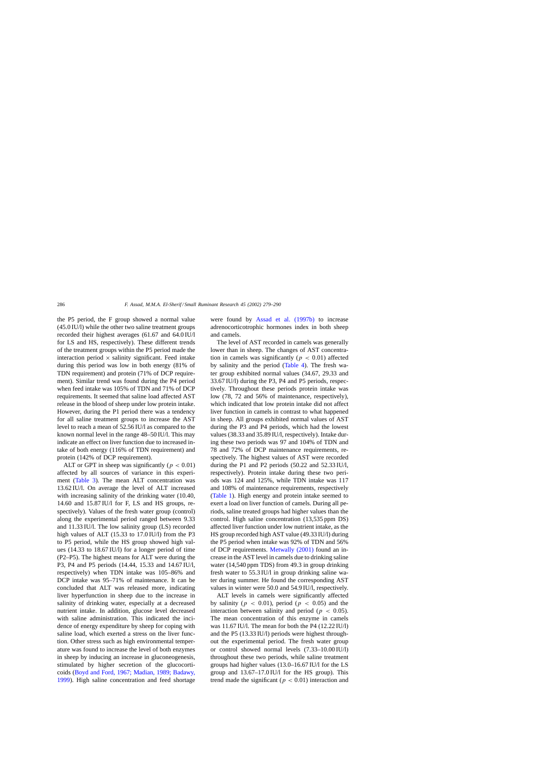the P5 period, the F group showed a normal value (45.0 IU/l) while the other two saline treatment groups recorded their highest averages (61.67 and 64.0 IU/l for LS and HS, respectively). These different trends of the treatment groups within the P5 period made the interaction period  $\times$  salinity significant. Feed intake during this period was low in both energy (81% of TDN requirement) and protein (71% of DCP requirement). Similar trend was found during the P4 period when feed intake was 105% of TDN and 71% of DCP requirements. It seemed that saline load affected AST release in the blood of sheep under low protein intake. However, during the P1 period there was a tendency for all saline treatment groups to increase the AST level to reach a mean of 52.56 IU/l as compared to the known normal level in the range 48–50 IU/l. This may indicate an effect on liver function due to increased intake of both energy (116% of TDN requirement) and protein (142% of DCP requirement).

ALT or GPT in sheep was significantly ( $p < 0.01$ ) affected by all sources of variance in this experiment [\(Table 3\)](#page-5-0). The mean ALT concentration was 13.62 IU/l. On average the level of ALT increased with increasing salinity of the drinking water (10.40, 14.60 and 15.87 IU/l for F, LS and HS groups, respectively). Values of the fresh water group (control) along the experimental period ranged between 9.33 and 11.33 IU/l. The low salinity group (LS) recorded high values of ALT (15.33 to 17.0 IU/l) from the P3 to P5 period, while the HS group showed high values (14.33 to 18.67 IU/l) for a longer period of time (P2–P5). The highest means for ALT were during the P3, P4 and P5 periods (14.44, 15.33 and 14.67 IU/l, respectively) when TDN intake was 105–86% and DCP intake was 95–71% of maintenance. It can be concluded that ALT was released more, indicating liver hyperfunction in sheep due to the increase in salinity of drinking water, especially at a decreased nutrient intake. In addition, glucose level decreased with saline administration. This indicated the incidence of energy expenditure by sheep for coping with saline load, which exerted a stress on the liver function. Other stress such as high environmental temperature was found to increase the level of both enzymes in sheep by inducing an increase in gluconeogenesis, stimulated by higher secretion of the glucocorticoids ([Boyd and Ford, 1967; Madian, 1989; Badawy,](#page-10-0) [1999\).](#page-10-0) High saline concentration and feed shortage were found by [Assad et al. \(1997b](#page-10-0)) to increase adrenocorticotrophic hormones index in both sheep and camels.

The level of AST recorded in camels was generally lower than in sheep. The changes of AST concentration in camels was significantly ( $p < 0.01$ ) affected by salinity and the period ([Table 4\).](#page-6-0) The fresh water group exhibited normal values (34.67, 29.33 and 33.67 IU/l) during the P3, P4 and P5 periods, respectively. Throughout these periods protein intake was low (78, 72 and 56% of maintenance, respectively), which indicated that low protein intake did not affect liver function in camels in contrast to what happened in sheep. All groups exhibited normal values of AST during the P3 and P4 periods, which had the lowest values (38.33 and 35.89 IU/l, respectively). Intake during these two periods was 97 and 104% of TDN and 78 and 72% of DCP maintenance requirements, respectively. The highest values of AST were recorded during the P1 and P2 periods (50.22 and 52.33 IU/l, respectively). Protein intake during these two periods was 124 and 125%, while TDN intake was 117 and 108% of maintenance requirements, respectively ([Table 1\).](#page-2-0) High energy and protein intake seemed to exert a load on liver function of camels. During all periods, saline treated groups had higher values than the control. High saline concentration (13,535 ppm DS) affected liver function under low nutrient intake, as the HS group recorded high AST value (49.33 IU/l) during the P5 period when intake was 92% of TDN and 56% of DCP requirements. [Metwally \(2001\)](#page-10-0) found an increase in the AST level in camels due to drinking saline water (14,540 ppm TDS) from 49.3 in group drinking fresh water to 55.3 IU/l in group drinking saline water during summer. He found the corresponding AST values in winter were 50.0 and 54.9 IU/l, respectively.

ALT levels in camels were significantly affected by salinity ( $p < 0.01$ ), period ( $p < 0.05$ ) and the interaction between salinity and period ( $p < 0.05$ ). The mean concentration of this enzyme in camels was 11.67 IU/l. The mean for both the P4 (12.22 IU/l) and the P5 (13.33 IU/l) periods were highest throughout the experimental period. The fresh water group or control showed normal levels (7.33–10.00 IU/l) throughout these two periods, while saline treatment groups had higher values (13.0–16.67 IU/l for the LS group and 13.67–17.0 IU/l for the HS group). This trend made the significant ( $p < 0.01$ ) interaction and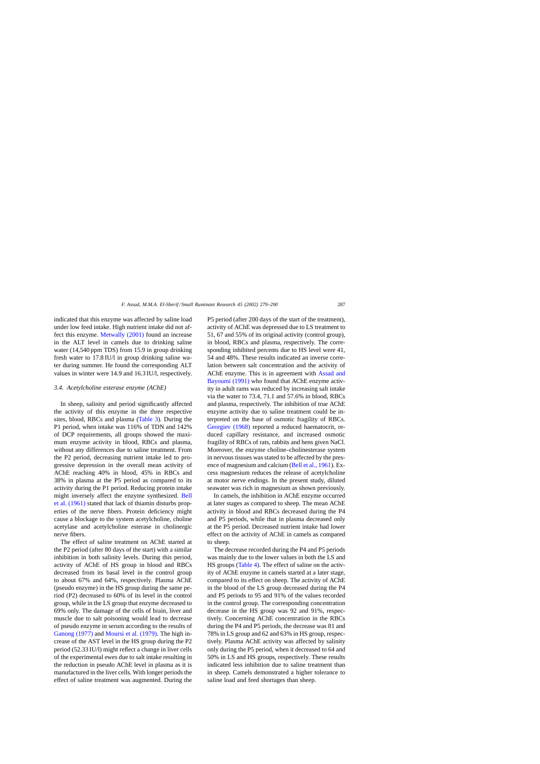indicated that this enzyme was affected by saline load under low feed intake. High nutrient intake did not affect this enzyme. [Metwally \(2001\)](#page-10-0) found an increase in the ALT level in camels due to drinking saline water (14,540 ppm TDS) from 15.9 in group drinking fresh water to 17.8 IU/l in group drinking saline water during summer. He found the corresponding ALT values in winter were 14.9 and 16.3 IU/l, respectively.

# *3.4. Acetylcholine esterase enzyme (AChE)*

In sheep, salinity and period significantly affected the activity of this enzyme in the three respective sites, blood, RBCs and plasma [\(Table 3\).](#page-5-0) During the P1 period, when intake was 116% of TDN and 142% of DCP requirements, all groups showed the maximum enzyme activity in blood, RBCs and plasma, without any differences due to saline treatment. From the P2 period, decreasing nutrient intake led to progressive depression in the overall mean activity of AChE reaching 40% in blood, 45% in RBCs and 38% in plasma at the P5 period as compared to its activity during the P1 period. Reducing protein intake might inversely affect the enzyme synthesized. [Bell](#page-10-0) [et al. \(1961\)](#page-10-0) stated that lack of thiamin disturbs properties of the nerve fibers. Protein deficiency might cause a blockage to the system acetylcholine, choline acetylase and acetylcholine esterase in cholinergic nerve fibers.

The effect of saline treatment on AChE started at the P2 period (after 80 days of the start) with a similar inhibition in both salinity levels. During this period, activity of AChE of HS group in blood and RBCs decreased from its basal level in the control group to about 67% and 64%, respectively. Plasma AChE (pseudo enzyme) in the HS group during the same period (P2) decreased to 60% of its level in the control group, while in the LS group that enzyme decreased to 69% only. The damage of the cells of brain, liver and muscle due to salt poisoning would lead to decrease of pseudo enzyme in serum according to the results of [Ganong \(1977\)](#page-10-0) and [Moursi et al. \(1979\). T](#page-10-0)he high increase of the AST level in the HS group during the P2 period (52.33 IU/l) might reflect a change in liver cells of the experimental ewes due to salt intake resulting in the reduction in pseudo AChE level in plasma as it is manufactured in the liver cells. With longer periods the effect of saline treatment was augmented. During the

P5 period (after 200 days of the start of the treatment), activity of AChE was depressed due to LS treatment to 51, 67 and 55% of its original activity (control group), in blood, RBCs and plasma, respectively. The corresponding inhibited percents due to HS level were 41, 54 and 48%. These results indicated an inverse correlation between salt concentration and the activity of AChE enzyme. This is in agreement with [Assad and](#page-10-0) Bayoumi (1991) who found that AChE enzyme activity in adult rams was reduced by increasing salt intake via the water to 73.4, 71.1 and 57.6% in blood, RBCs and plasma, respectively. The inhibition of true AChE enzyme activity due to saline treatment could be interpreted on the base of osmotic fragility of RBCs. [Georgiev \(1968\)](#page-10-0) reported a reduced haematocrit, reduced capillary resistance, and increased osmotic fragility of RBCs of rats, rabbits and hens given NaCl. Moreover, the enzyme choline–cholinesterase system in nervous tissues was stated to be affected by the presence of magnesium and calcium ([Bell et al., 1961\). E](#page-10-0)xcess magnesium reduces the release of acetylcholine at motor nerve endings. In the present study, diluted seawater was rich in magnesium as shown previously.

In camels, the inhibition in AChE enzyme occurred at later stages as compared to sheep. The mean AChE activity in blood and RBCs decreased during the P4 and P5 periods, while that in plasma decreased only at the P5 period. Decreased nutrient intake had lower effect on the activity of AChE in camels as compared to sheep.

The decrease recorded during the P4 and P5 periods was mainly due to the lower values in both the LS and HS groups ([Table 4\).](#page-6-0) The effect of saline on the activity of AChE enzyme in camels started at a later stage, compared to its effect on sheep. The activity of AChE in the blood of the LS group decreased during the P4 and P5 periods to 95 and 91% of the values recorded in the control group. The corresponding concentration decrease in the HS group was 92 and 91%, respectively. Concerning AChE concentration in the RBCs during the P4 and P5 periods, the decrease was 81 and 78% in LS group and 62 and 63% in HS group, respectively. Plasma AChE activity was affected by salinity only during the P5 period, when it decreased to 64 and 50% in LS and HS groups, respectively. These results indicated less inhibition due to saline treatment than in sheep. Camels demonstrated a higher tolerance to saline load and feed shortages than sheep.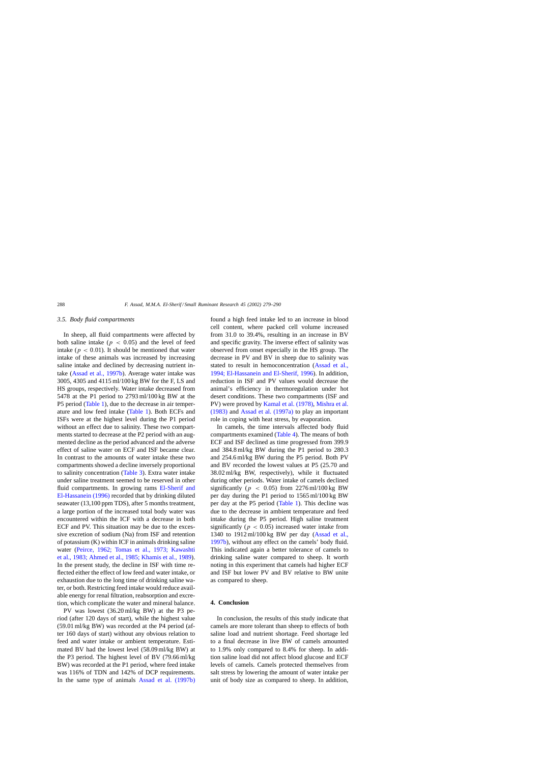# *3.5. Body fluid compartments*

In sheep, all fluid compartments were affected by both saline intake ( $p < 0.05$ ) and the level of feed intake ( $p < 0.01$ ). It should be mentioned that water intake of these animals was increased by increasing saline intake and declined by decreasing nutrient intake [\(Assad et al., 1997b\).](#page-10-0) Average water intake was 3005, 4305 and 4115 ml/100 kg BW for the F, LS and HS groups, respectively. Water intake decreased from 5478 at the P1 period to 2793 ml/100 kg BW at the P5 period ([Table 1\),](#page-2-0) due to the decrease in air temperature and low feed intake [\(Table 1\).](#page-2-0) Both ECFs and ISFs were at the highest level during the P1 period without an effect due to salinity. These two compartments started to decrease at the P2 period with an augmented decline as the period advanced and the adverse effect of saline water on ECF and ISF became clear. In contrast to the amounts of water intake these two compartments showed a decline inversely proportional to salinity concentration [\(Table 3\).](#page-5-0) Extra water intake under saline treatment seemed to be reserved in other fluid compartments. In growing rams [El-Sherif and](#page-10-0) [El-Hassanein \(1996\)](#page-10-0) recorded that by drinking diluted seawater (13,100 ppm TDS), after 5 months treatment, a large portion of the increased total body water was encountered within the ICF with a decrease in both ECF and PV. This situation may be due to the excessive excretion of sodium (Na) from ISF and retention of potassium (K) within ICF in animals drinking saline water [\(Peirce, 1962; Tomas et al., 1973; Kawash](#page-10-0)ti [et al., 1983; Ahmed et al., 1985; Khamis et al., 1989\).](#page-10-0) In the present study, the decline in ISF with time reflected either the effect of low feed and water intake, or exhaustion due to the long time of drinking saline water, or both. Restricting feed intake would reduce available energy for renal filtration, reabsorption and excretion, which complicate the water and mineral balance.

PV was lowest (36.20 ml/kg BW) at the P3 period (after 120 days of start), while the highest value (59.01 ml/kg BW) was recorded at the P4 period (after 160 days of start) without any obvious relation to feed and water intake or ambient temperature. Estimated BV had the lowest level (58.09 ml/kg BW) at the P3 period. The highest level of BV (79.66 ml/kg BW) was recorded at the P1 period, where feed intake was 116% of TDN and 142% of DCP requirements. In the same type of animals [Assad et al. \(1997b\)](#page-10-0) found a high feed intake led to an increase in blood cell content, where packed cell volume increased from 31.0 to 39.4%, resulting in an increase in BV and specific gravity. The inverse effect of salinity was observed from onset especially in the HS group. The decrease in PV and BV in sheep due to salinity was stated to result in hemoconcentration ([Assad et al.,](#page-10-0) [1994; El-Hassanein and El-Sherif, 1996\).](#page-10-0) In addition, reduction in ISF and PV values would decrease the animal's efficiency in thermoregulation under hot desert conditions. These two compartments (ISF and PV) were proved by [Kamal et al. \(1978\),](#page-10-0) [Mishra et al.](#page-10-0) [\(1983\)](#page-10-0) and [Assad et al. \(1997a\)](#page-10-0) to play an important role in coping with heat stress, by evaporation.

In camels, the time intervals affected body fluid compartments examined ([Table 4\).](#page-6-0) The means of both ECF and ISF declined as time progressed from 399.9 and 384.8 ml/kg BW during the P1 period to 280.3 and 254.6 ml/kg BW during the P5 period. Both PV and BV recorded the lowest values at P5 (25.70 and 38.02 ml/kg BW, respectively), while it fluctuated during other periods. Water intake of camels declined significantly ( $p < 0.05$ ) from 2276 ml/100 kg BW per day during the P1 period to 1565 ml/100 kg BW per day at the P5 period [\(Table 1\).](#page-2-0) This decline was due to the decrease in ambient temperature and feed intake during the P5 period. High saline treatment significantly ( $p < 0.05$ ) increased water intake from 1340 to 1912 ml/100 kg BW per day ([Assad et al.,](#page-10-0) [1997b\),](#page-10-0) without any effect on the camels' body fluid. This indicated again a better tolerance of camels to drinking saline water compared to sheep. It worth noting in this experiment that camels had higher ECF and ISF but lower PV and BV relative to BW unite as compared to sheep.

# **4. Conclusion**

In conclusion, the results of this study indicate that camels are more tolerant than sheep to effects of both saline load and nutrient shortage. Feed shortage led to a final decrease in live BW of camels amounted to 1.9% only compared to 8.4% for sheep. In addition saline load did not affect blood glucose and ECF levels of camels. Camels protected themselves from salt stress by lowering the amount of water intake per unit of body size as compared to sheep. In addition,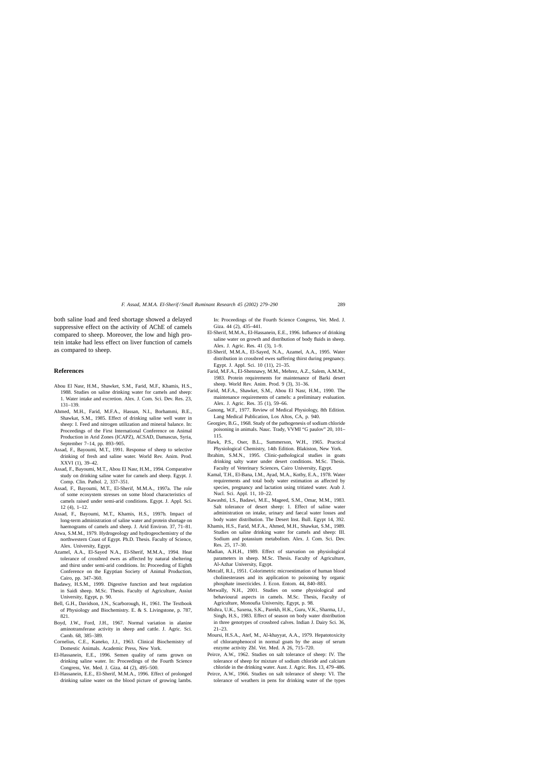<span id="page-10-0"></span>both saline load and feed shortage showed a delayed suppressive effect on the activity of AChE of camels compared to sheep. Moreover, the low and high protein intake had less effect on liver function of camels as compared to sheep.

#### **References**

- Abou El Nasr, H.M., Shawket, S.M., Farid, M.F., Khamis, H.S., 1988. Studies on saline drinking water for camels and sheep: 1. Water intake and excretion. Alex. J. Com. Sci. Dev. Res. 23, 131–139.
- Ahmed, M.H., Farid, M.F.A., Hassan, N.I., Borhammi, B.E., Shawkat, S.M., 1985. Effect of drinking saline well water in sheep: I. Feed and nitrogen utilization and mineral balance. In: Proceedings of the First International Conference on Animal Production in Arid Zones (ICAPZ), ACSAD, Damascus, Syria, September 7–14, pp. 893–905.
- Assad, F., Bayoumi, M.T., 1991. Response of sheep to selective drinking of fresh and saline water. World Rev. Anim. Prod. XXVI (1), 39–42.
- Assad, F., Bayoumi, M.T., Abou El Nasr, H.M., 1994. Comparative study on drinking saline water for camels and sheep. Egypt. J. Comp. Clin. Pathol. 2, 337–351.
- Assad, F., Bayoumi, M.T., El-Sherif, M.M.A., 1997a. The role of some ecosystem stresses on some blood characteristics of camels raised under semi-arid conditions. Egypt. J. Appl. Sci. 12 (4), 1–12.
- Assad, F., Bayoumi, M.T., Khamis, H.S., 1997b. Impact of long-term administration of saline water and protein shortage on haemograms of camels and sheep. J. Arid Environ. 37, 71-81.
- Atwa, S.M.M., 1979. Hydrogeology and hydrogeochemistry of the northwestern Coast of Egypt. Ph.D. Thesis. Faculty of Science, Alex. University, Egypt.
- Azamel, A.A., El-Sayed N.A., El-Sherif, M.M.A., 1994. Heat tolerance of crossbred ewes as affected by natural sheltering and thirst under semi-arid conditions. In: Proceeding of Eighth Conference on the Egyptian Society of Animal Production, Cairo, pp. 347–360.
- Badawy, H.S.M., 1999. Digestive function and heat regulation in Saidi sheep. M.Sc. Thesis. Faculty of Agriculture, Assiut University, Egypt, p. 90.
- Bell, G.H., Davidson, J.N., Scarborough, H., 1961. The Textbook of Physiology and Biochemistry. E. & S. Livingstone, p. 787, 821.
- Boyd, J.W., Ford, J.H., 1967. Normal variation in alanine aminotransferase activity in sheep and cattle. J. Agric. Sci. Camb. 68, 385–389.
- Cornelius, C.E., Kaneko, J.J., 1963. Clinical Biochemistry of Domestic Animals. Academic Press, New York.
- El-Hassanein, E.E., 1996. Semen quality of rams grown on drinking saline water. In: Proceedings of the Fourth Science Congress, Vet. Med. J. Giza. 44 (2), 495–500.
- El-Hassanein, E.E., El-Sherif, M.M.A., 1996. Effect of prolonged drinking saline water on the blood picture of growing lambs.

In: Proceedings of the Fourth Science Congress, Vet. Med. J. Giza. 44 (2), 435–441.

- El-Sherif, M.M.A., El-Hassanein, E.E., 1996. Influence of drinking saline water on growth and distribution of body fluids in sheep. Alex. J. Agric. Res. 41 (3), 1–9.
- El-Sherif, M.M.A., El-Sayed, N.A., Azamel, A.A., 1995. Water distribution in crossbred ewes suffering thirst during pregnancy. Egypt. J. Appl. Sci. 10 (11), 21–35.
- Farid, M.F.A., El-Shennawy, M.M., Mehrez, A.Z., Salem, A.M.M., 1983. Protein requirements for maintenance of Barki desert sheep. World Rev. Anim. Prod. 9 (3), 31–36.
- Farid, M.F.A., Shawket, S.M., Abou El Nasr, H.M., 1990. The maintenance requirements of camels: a preliminary evaluation. Alex. J. Agric. Res. 35 (1), 59–66.
- Ganong, W.F., 1977. Review of Medical Physiology, 8th Edition. Lang Medical Publication, Los Altos, CA, p. 940.
- Georgiev, B.G., 1968. Study of the pathogenesis of sodium chloride poisoning in animals. Nauc. Trady, VVMI "G paulov" 20, 101– 115.
- Hawk, P.S., Oser, B.L., Summerson, W.H., 1965. Practical Physiological Chemistry, 14th Edition. Blakiston, New York.
- Ibrahim, S.M.N., 1995. Clinic-pathological studies in goats drinking salty water under desert conditions. M.Sc. Thesis. Faculty of Veterinary Sciences, Cairo University, Egypt.
- Kamal, T.H., El-Bana, I.M., Ayad, M.A., Kotby, E.A., 1978. Water requirements and total body water estimation as affected by species, pregnancy and lactation using tritiated water. Arab J. Nucl. Sci. Appl. 11, 10–22.
- Kawashti, I.S., Badawi, M.E., Mageed, S.M., Omar, M.M., 1983. Salt tolerance of desert sheep: 1. Effect of saline water administration on intake, urinary and faecal water losses and body water distribution. The Desert Inst. Bull. Egypt 14, 392.
- Khamis, H.S., Farid, M.F.A., Ahmed, M.H., Shawkat, S.M., 1989. Studies on saline drinking water for camels and sheep: III. Sodium and potassium metabolism. Alex. J. Com. Sci. Dev. Res. 25, 17–30.
- Madian, A.H.H., 1989. Effect of starvation on physiological parameters in sheep. M.Sc. Thesis. Faculty of Agriculture, Al-Azhar University, Egypt.
- Metcalf, R.I., 1951. Colorimetric microestimation of human blood cholinesterases and its application to poisoning by organic phosphate insecticides. J. Econ. Entom. 44, 840–883.
- Metwally, N.H., 2001. Studies on some physiological and behavioural aspects in camels. M.Sc. Thesis, Faculty of Agriculture, Monoufia University, Egypt, p. 98.
- Mishra, U.K., Saxena, S.K., Parekh, H.K., Guru, V.K., Sharma, I.J., Singh, H.S., 1983. Effect of season on body water distribution in three genotypes of crossbred calves. Indian J. Dairy Sci. 36, 21–23.
- Moursi, H.S.A., Atef, M., Al-khayyat, A.A., 1979. Hepatotoxicity of chloramphenocol in normal goats by the assay of serum enzyme activity Zbl. Vet. Med. A 26, 715–720.
- Peirce, A.W., 1962. Studies on salt tolerance of sheep: IV. The tolerance of sheep for mixture of sodium chloride and calcium chloride in the drinking water. Aust. J. Agric. Res. 13, 479–486.
- Peirce, A.W., 1966. Studies on salt tolerance of sheep: VI. The tolerance of weathers in pens for drinking water of the types